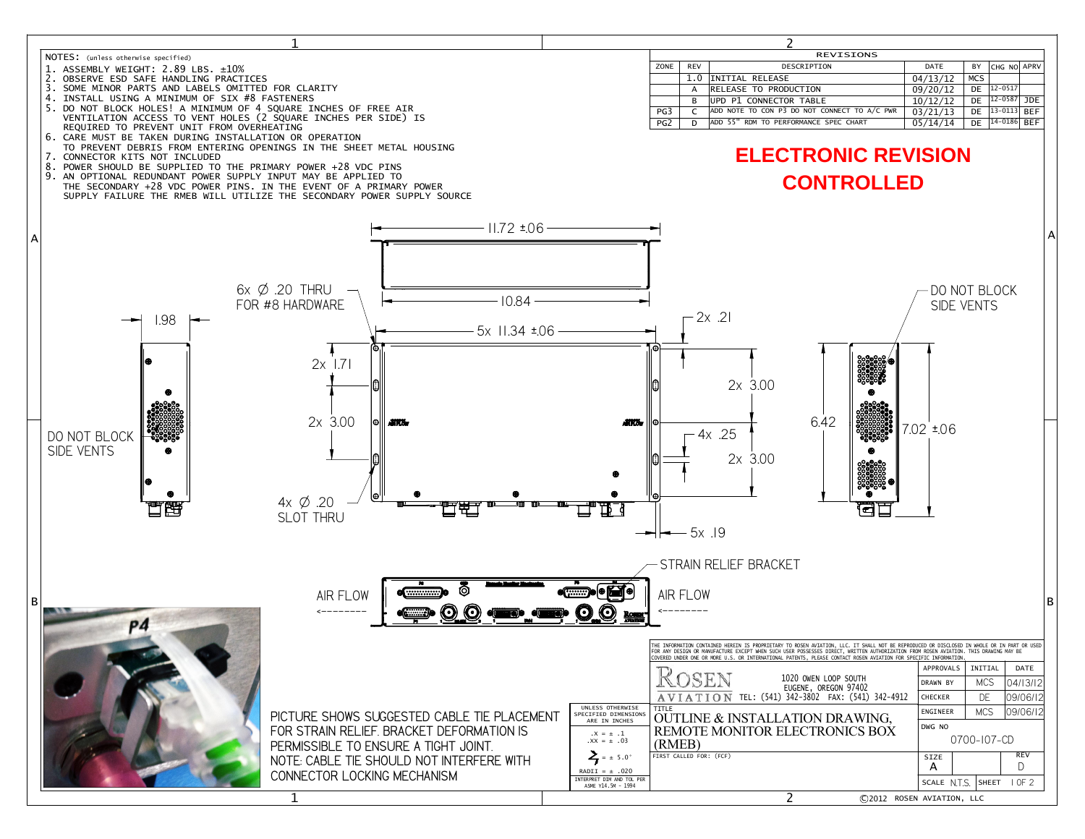